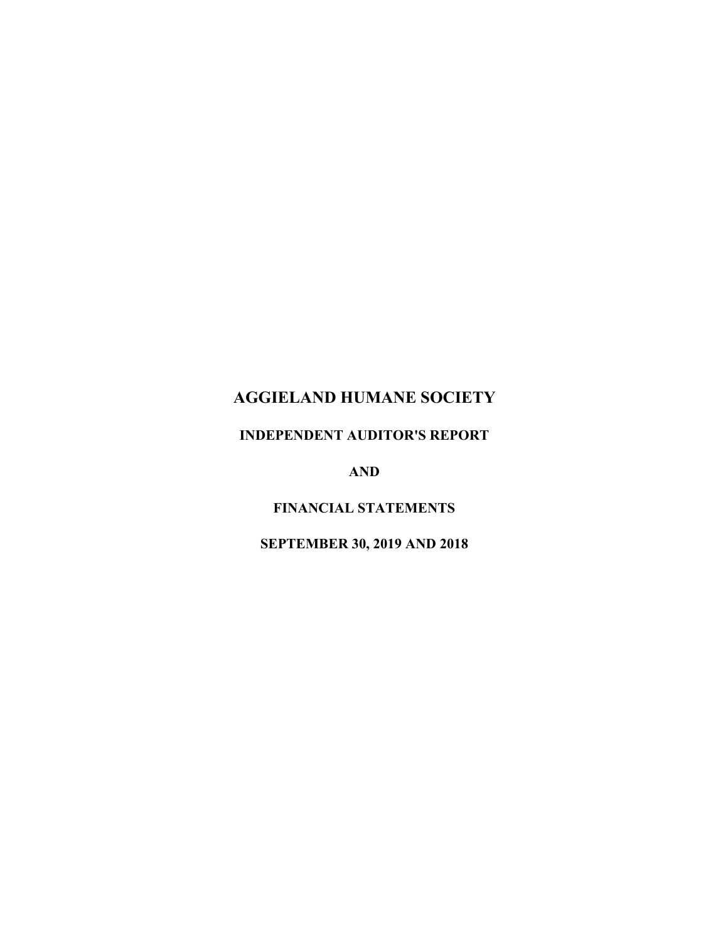# **AGGIELAND HUMANE SOCIETY**

## **INDEPENDENT AUDITOR'S REPORT**

**AND**

**FINANCIAL STATEMENTS**

**SEPTEMBER 30, 2019 AND 2018**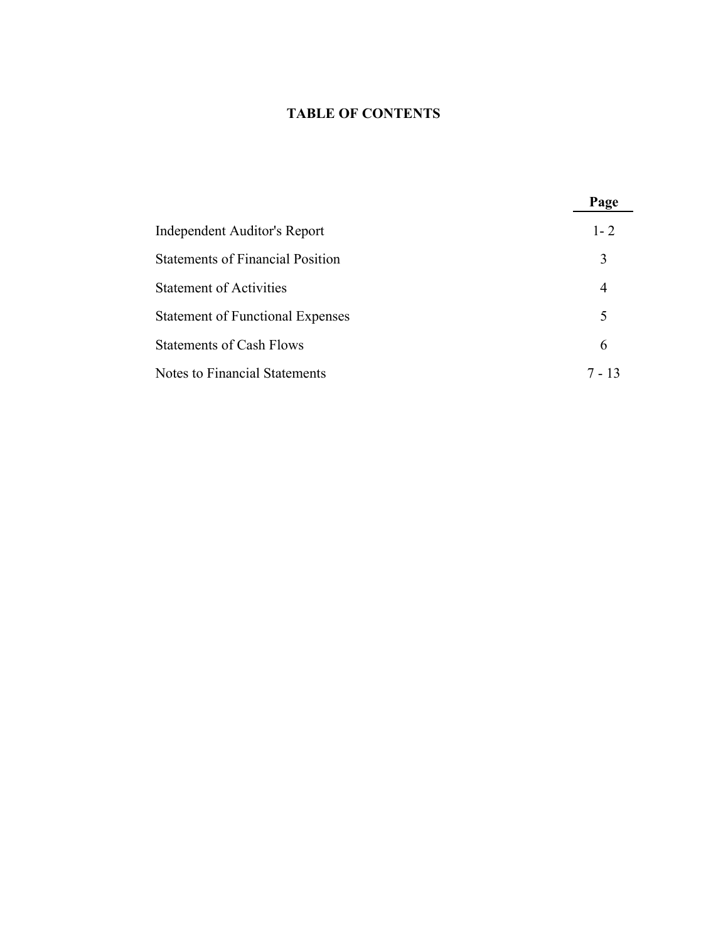## **TABLE OF CONTENTS**

|                                         | Page    |
|-----------------------------------------|---------|
| Independent Auditor's Report            | $1 - 2$ |
| <b>Statements of Financial Position</b> | 3       |
| <b>Statement of Activities</b>          | 4       |
| <b>Statement of Functional Expenses</b> | 5       |
| <b>Statements of Cash Flows</b>         | 6       |
| Notes to Financial Statements           | 7 - 13  |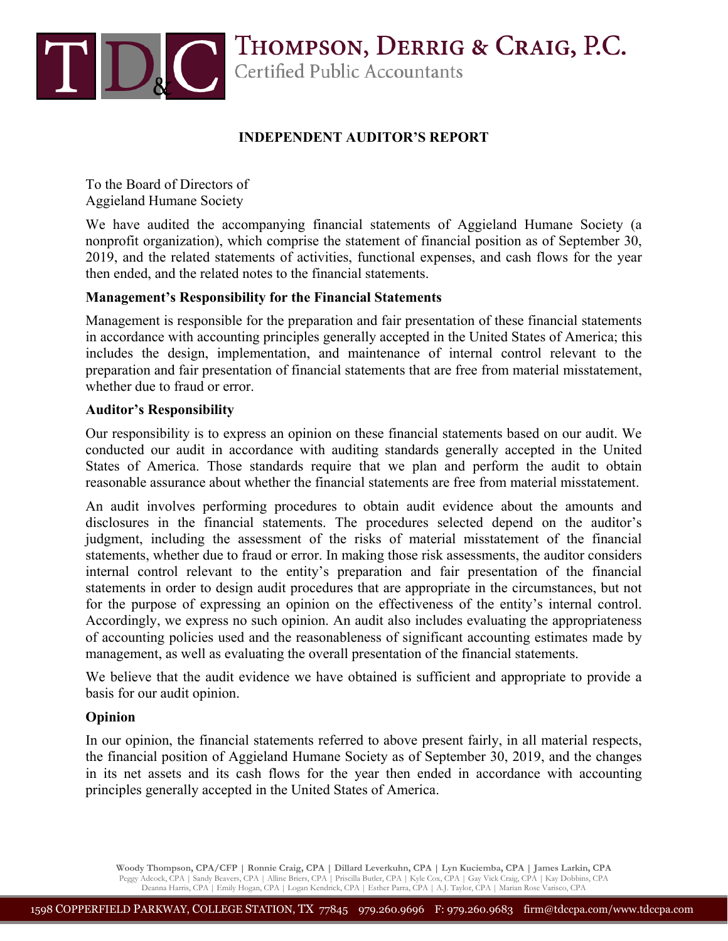

## **INDEPENDENT AUDITOR'S REPORT**

To the Board of Directors of Aggieland Humane Society

We have audited the accompanying financial statements of Aggieland Humane Society (a nonprofit organization), which comprise the statement of financial position as of September 30, 2019, and the related statements of activities, functional expenses, and cash flows for the year then ended, and the related notes to the financial statements.

## **Management's Responsibility for the Financial Statements**

Management is responsible for the preparation and fair presentation of these financial statements in accordance with accounting principles generally accepted in the United States of America; this includes the design, implementation, and maintenance of internal control relevant to the preparation and fair presentation of financial statements that are free from material misstatement, whether due to fraud or error.

#### **Auditor's Responsibility**

Our responsibility is to express an opinion on these financial statements based on our audit. We conducted our audit in accordance with auditing standards generally accepted in the United States of America. Those standards require that we plan and perform the audit to obtain reasonable assurance about whether the financial statements are free from material misstatement.

An audit involves performing procedures to obtain audit evidence about the amounts and disclosures in the financial statements. The procedures selected depend on the auditor's judgment, including the assessment of the risks of material misstatement of the financial statements, whether due to fraud or error. In making those risk assessments, the auditor considers internal control relevant to the entity's preparation and fair presentation of the financial statements in order to design audit procedures that are appropriate in the circumstances, but not for the purpose of expressing an opinion on the effectiveness of the entity's internal control. Accordingly, we express no such opinion. An audit also includes evaluating the appropriateness of accounting policies used and the reasonableness of significant accounting estimates made by management, as well as evaluating the overall presentation of the financial statements.

We believe that the audit evidence we have obtained is sufficient and appropriate to provide a basis for our audit opinion.

## **Opinion**

In our opinion, the financial statements referred to above present fairly, in all material respects, the financial position of Aggieland Humane Society as of September 30, 2019, and the changes in its net assets and its cash flows for the year then ended in accordance with accounting principles generally accepted in the United States of America.

**Woody Thompson, CPA/CFP | Ronnie Craig, CPA | Dillard Leverkuhn, CPA | Lyn Kuciemba, CPA | James Larkin, CPA**  Peggy Adcock, CPA | Sandy Beavers, CPA | Alline Briers, CPA | Priscilla Butler, CPA | Kyle Cox, CPA | Gay Vick Craig, CPA | Kay Dobbins, CPA<br>Deanna Harris, CPA | Emily Hogan, CPA | Logan Kendrick, CPA | Esther Parra, CPA |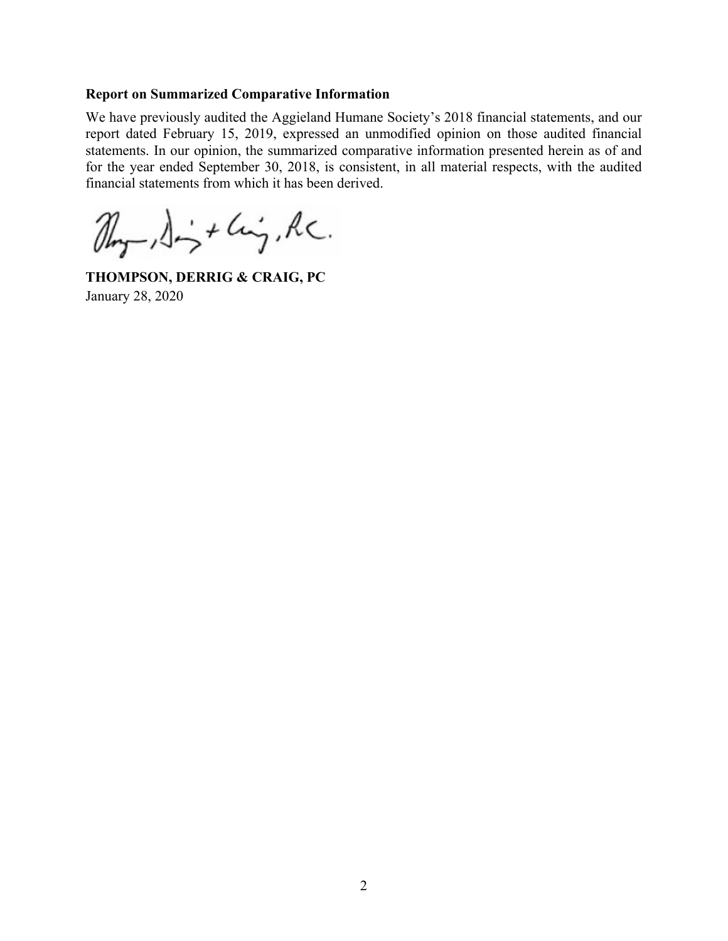#### **Report on Summarized Comparative Information**

We have previously audited the Aggieland Humane Society's 2018 financial statements, and our report dated February 15, 2019, expressed an unmodified opinion on those audited financial statements. In our opinion, the summarized comparative information presented herein as of and for the year ended September 30, 2018, is consistent, in all material respects, with the audited financial statements from which it has been derived.

 $\mathbb{Z}_{n-1}\rightarrow \mathbb{Z}_{n}$  + Cinq, RC.

**THOMPSON, DERRIG & CRAIG, PC**  January 28, 2020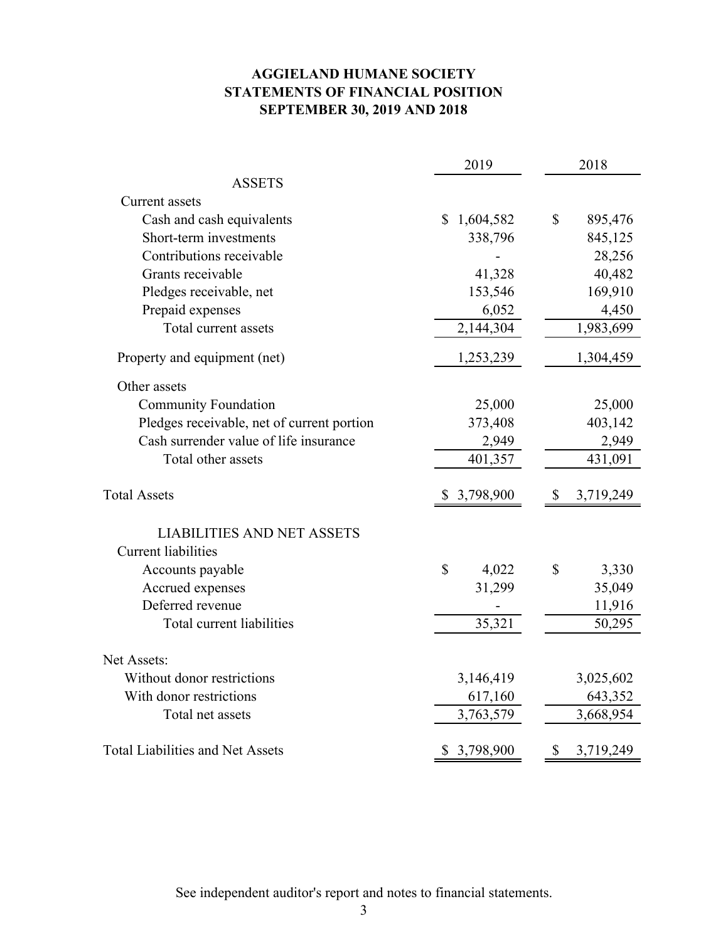## **AGGIELAND HUMANE SOCIETY SEPTEMBER 30, 2019 AND 2018 STATEMENTS OF FINANCIAL POSITION**

|                                            | 2019                      | 2018                  |
|--------------------------------------------|---------------------------|-----------------------|
| <b>ASSETS</b>                              |                           |                       |
| Current assets                             |                           |                       |
| Cash and cash equivalents                  | 1,604,582<br>$\mathbb{S}$ | \$<br>895,476         |
| Short-term investments                     | 338,796                   | 845,125               |
| Contributions receivable                   |                           | 28,256                |
| Grants receivable                          | 41,328                    | 40,482                |
| Pledges receivable, net                    | 153,546                   | 169,910               |
| Prepaid expenses                           | 6,052                     | 4,450                 |
| Total current assets                       | 2,144,304                 | 1,983,699             |
| Property and equipment (net)               | 1,253,239                 | 1,304,459             |
| Other assets                               |                           |                       |
| <b>Community Foundation</b>                | 25,000                    | 25,000                |
| Pledges receivable, net of current portion | 373,408                   | 403,142               |
| Cash surrender value of life insurance     | 2,949                     | 2,949                 |
| Total other assets                         | 401,357                   | 431,091               |
| <b>Total Assets</b>                        | 3,798,900                 | 3,719,249<br>S        |
| <b>LIABILITIES AND NET ASSETS</b>          |                           |                       |
| <b>Current liabilities</b>                 |                           |                       |
| Accounts payable                           | \$<br>4,022               | $\mathbb{S}$<br>3,330 |
| Accrued expenses                           | 31,299                    | 35,049                |
| Deferred revenue                           |                           | 11,916                |
| Total current liabilities                  | 35,321                    | 50,295                |
|                                            |                           |                       |
| Net Assets:                                |                           |                       |
| Without donor restrictions                 | 3,146,419                 | 3,025,602             |
| With donor restrictions                    | 617,160                   | 643,352               |
| Total net assets                           | 3,763,579                 | 3,668,954             |
| <b>Total Liabilities and Net Assets</b>    | 3,798,900                 | 3,719,249<br>S        |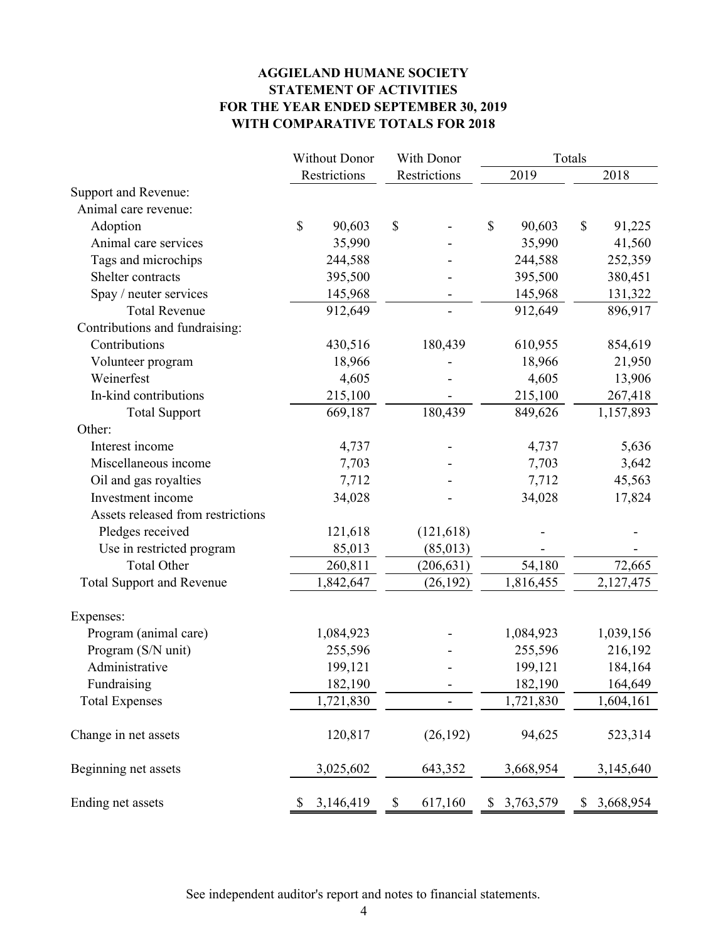## **AGGIELAND HUMANE SOCIETY STATEMENT OF ACTIVITIES FOR THE YEAR ENDED SEPTEMBER 30, 2019 WITH COMPARATIVE TOTALS FOR 2018**

|                                   | <b>Without Donor</b>   | With Donor    | Totals          |                 |  |
|-----------------------------------|------------------------|---------------|-----------------|-----------------|--|
|                                   | Restrictions           | Restrictions  | 2019            | 2018            |  |
| Support and Revenue:              |                        |               |                 |                 |  |
| Animal care revenue:              |                        |               |                 |                 |  |
| Adoption                          | $\mathbb{S}$<br>90,603 | \$            | \$<br>90,603    | \$<br>91,225    |  |
| Animal care services              | 35,990                 |               | 35,990          | 41,560          |  |
| Tags and microchips               | 244,588                |               | 244,588         | 252,359         |  |
| Shelter contracts                 | 395,500                |               | 395,500         | 380,451         |  |
| Spay / neuter services            | 145,968                |               | 145,968         | 131,322         |  |
| <b>Total Revenue</b>              | 912,649                |               | 912,649         | 896,917         |  |
| Contributions and fundraising:    |                        |               |                 |                 |  |
| Contributions                     | 430,516                | 180,439       | 610,955         | 854,619         |  |
| Volunteer program                 | 18,966                 |               | 18,966          | 21,950          |  |
| Weinerfest                        | 4,605                  |               | 4,605           | 13,906          |  |
| In-kind contributions             | 215,100                |               | 215,100         | 267,418         |  |
| <b>Total Support</b>              | 669,187                | 180,439       | 849,626         | 1,157,893       |  |
| Other:                            |                        |               |                 |                 |  |
| Interest income                   | 4,737                  |               | 4,737           | 5,636           |  |
| Miscellaneous income              | 7,703                  |               | 7,703           | 3,642           |  |
| Oil and gas royalties             | 7,712                  |               | 7,712           | 45,563          |  |
| Investment income                 | 34,028                 |               | 34,028          | 17,824          |  |
| Assets released from restrictions |                        |               |                 |                 |  |
| Pledges received                  | 121,618                | (121, 618)    |                 |                 |  |
| Use in restricted program         | 85,013                 | (85, 013)     |                 |                 |  |
| <b>Total Other</b>                | 260,811                | (206, 631)    | 54,180          | 72,665          |  |
| <b>Total Support and Revenue</b>  | 1,842,647              | (26, 192)     | 1,816,455       | 2,127,475       |  |
| Expenses:                         |                        |               |                 |                 |  |
| Program (animal care)             | 1,084,923              |               | 1,084,923       | 1,039,156       |  |
| Program (S/N unit)                | 255,596                |               | 255,596         | 216,192         |  |
| Administrative                    | 199,121                |               | 199,121         | 184,164         |  |
| Fundraising                       | 182,190                |               | 182,190         | 164,649         |  |
| <b>Total Expenses</b>             | 1,721,830              |               | 1,721,830       | 1,604,161       |  |
| Change in net assets              | 120,817                | (26, 192)     | 94,625          | 523,314         |  |
| Beginning net assets              | 3,025,602              | 643,352       | 3,668,954       | 3,145,640       |  |
| Ending net assets                 | 3,146,419<br>\$        | \$<br>617,160 | 3,763,579<br>\$ | 3,668,954<br>\$ |  |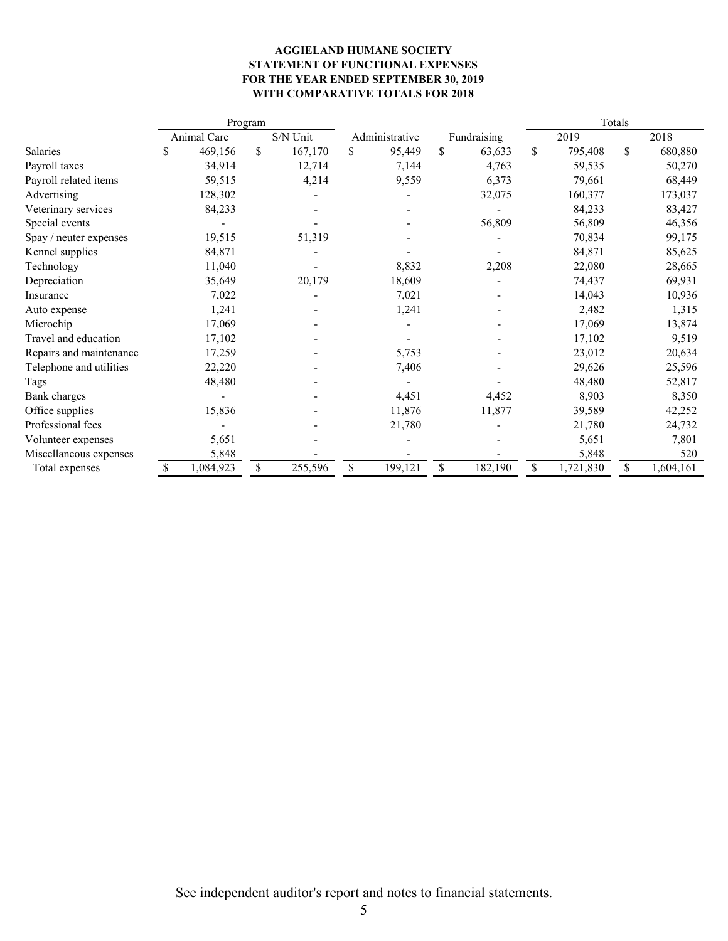#### **AGGIELAND HUMANE SOCIETY STATEMENT OF FUNCTIONAL EXPENSES FOR THE YEAR ENDED SEPTEMBER 30, 2019 WITH COMPARATIVE TOTALS FOR 2018**

|                         |                    |             | Program |          |                |    |             | Totals |           |    |           |
|-------------------------|--------------------|-------------|---------|----------|----------------|----|-------------|--------|-----------|----|-----------|
|                         |                    | Animal Care |         | S/N Unit | Administrative |    | Fundraising |        | 2019      |    | 2018      |
| Salaries                | $\mathbf{\hat{S}}$ | 469,156     | \$      | 167,170  | \$<br>95,449   | \$ | 63,633      | \$     | 795,408   | \$ | 680,880   |
| Payroll taxes           |                    | 34,914      |         | 12,714   | 7,144          |    | 4,763       |        | 59,535    |    | 50,270    |
| Payroll related items   |                    | 59,515      |         | 4,214    | 9,559          |    | 6,373       |        | 79,661    |    | 68,449    |
| Advertising             |                    | 128,302     |         |          |                |    | 32,075      |        | 160,377   |    | 173,037   |
| Veterinary services     |                    | 84,233      |         |          |                |    |             |        | 84,233    |    | 83,427    |
| Special events          |                    |             |         |          |                |    | 56,809      |        | 56,809    |    | 46,356    |
| Spay / neuter expenses  |                    | 19,515      |         | 51,319   |                |    |             |        | 70,834    |    | 99,175    |
| Kennel supplies         |                    | 84,871      |         |          |                |    |             |        | 84,871    |    | 85,625    |
| Technology              |                    | 11,040      |         |          | 8,832          |    | 2,208       |        | 22,080    |    | 28,665    |
| Depreciation            |                    | 35,649      |         | 20,179   | 18,609         |    |             |        | 74,437    |    | 69,931    |
| Insurance               |                    | 7,022       |         |          | 7,021          |    |             |        | 14,043    |    | 10,936    |
| Auto expense            |                    | 1,241       |         |          | 1,241          |    |             |        | 2,482     |    | 1,315     |
| Microchip               |                    | 17,069      |         |          |                |    |             |        | 17,069    |    | 13,874    |
| Travel and education    |                    | 17,102      |         |          |                |    |             |        | 17,102    |    | 9,519     |
| Repairs and maintenance |                    | 17,259      |         |          | 5,753          |    |             |        | 23,012    |    | 20,634    |
| Telephone and utilities |                    | 22,220      |         |          | 7,406          |    |             |        | 29,626    |    | 25,596    |
| Tags                    |                    | 48,480      |         |          |                |    |             |        | 48,480    |    | 52,817    |
| Bank charges            |                    |             |         |          | 4,451          |    | 4,452       |        | 8,903     |    | 8,350     |
| Office supplies         |                    | 15,836      |         |          | 11,876         |    | 11,877      |        | 39,589    |    | 42,252    |
| Professional fees       |                    |             |         |          | 21,780         |    |             |        | 21,780    |    | 24,732    |
| Volunteer expenses      |                    | 5,651       |         |          |                |    |             |        | 5,651     |    | 7,801     |
| Miscellaneous expenses  |                    | 5,848       |         |          |                |    |             |        | 5,848     |    | 520       |
| Total expenses          | \$                 | 1,084,923   |         | 255,596  | \$<br>199,121  | \$ | 182,190     | \$     | 1,721,830 | \$ | 1,604,161 |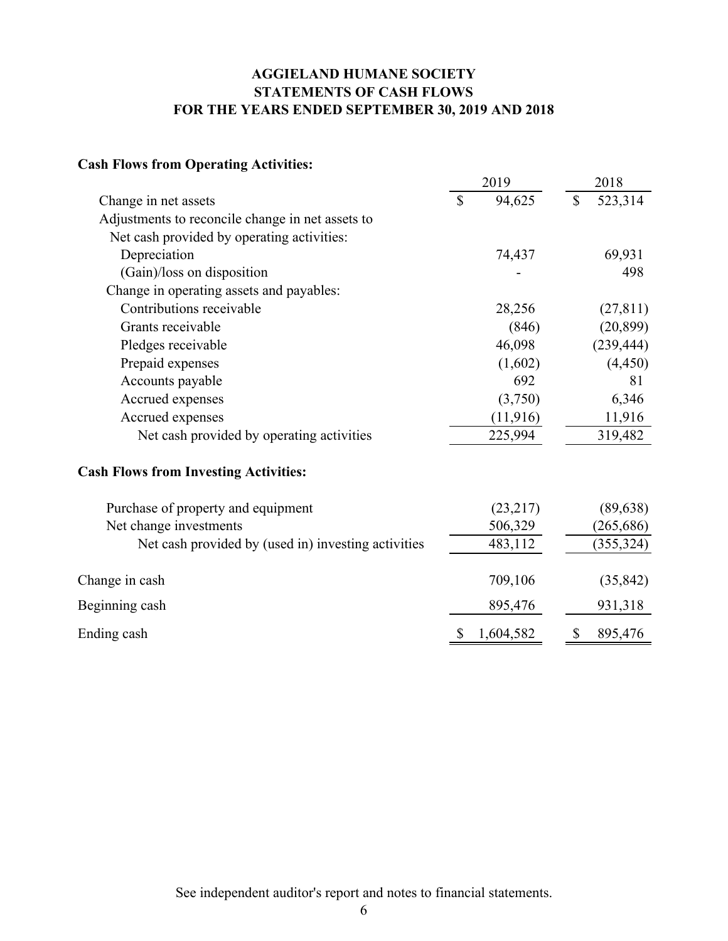## **AGGIELAND HUMANE SOCIETY STATEMENTS OF CASH FLOWS FOR THE YEARS ENDED SEPTEMBER 30, 2019 AND 2018**

## **Cash Flows from Operating Activities:**

|                                                     |              | 2019      | 2018         |            |
|-----------------------------------------------------|--------------|-----------|--------------|------------|
| Change in net assets                                | $\mathbb{S}$ | 94,625    | $\mathbb{S}$ | 523,314    |
| Adjustments to reconcile change in net assets to    |              |           |              |            |
| Net cash provided by operating activities:          |              |           |              |            |
| Depreciation                                        |              | 74,437    |              | 69,931     |
| (Gain)/loss on disposition                          |              |           |              | 498        |
| Change in operating assets and payables:            |              |           |              |            |
| Contributions receivable                            |              | 28,256    |              | (27, 811)  |
| Grants receivable                                   |              | (846)     |              | (20, 899)  |
| Pledges receivable                                  |              | 46,098    |              | (239, 444) |
| Prepaid expenses                                    |              | (1,602)   |              | (4, 450)   |
| Accounts payable                                    |              | 692       |              | 81         |
| Accrued expenses                                    |              | (3,750)   |              | 6,346      |
| Accrued expenses                                    |              | (11, 916) |              | 11,916     |
| Net cash provided by operating activities           |              | 225,994   |              | 319,482    |
| <b>Cash Flows from Investing Activities:</b>        |              |           |              |            |
| Purchase of property and equipment                  |              | (23,217)  |              | (89, 638)  |
| Net change investments                              |              | 506,329   |              | (265, 686) |
| Net cash provided by (used in) investing activities |              | 483,112   |              | (355, 324) |
| Change in cash                                      |              | 709,106   |              | (35, 842)  |
| Beginning cash                                      |              | 895,476   |              | 931,318    |
| Ending cash                                         | \$           | 1,604,582 | \$           | 895,476    |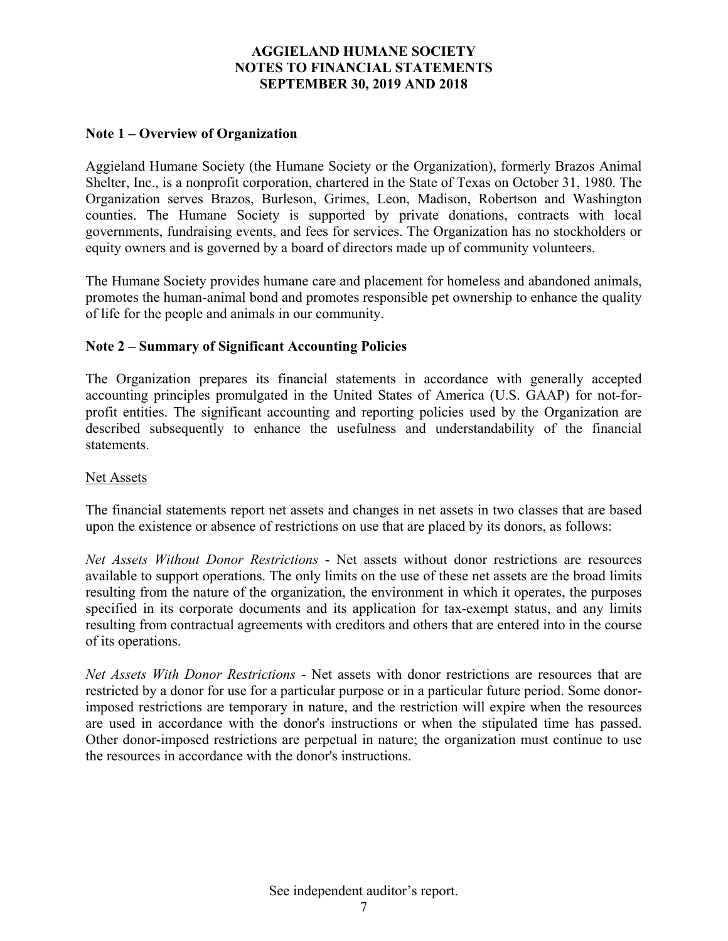## **Note 1 – Overview of Organization**

Aggieland Humane Society (the Humane Society or the Organization), formerly Brazos Animal Shelter, Inc., is a nonprofit corporation, chartered in the State of Texas on October 31, 1980. The Organization serves Brazos, Burleson, Grimes, Leon, Madison, Robertson and Washington counties. The Humane Society is supported by private donations, contracts with local governments, fundraising events, and fees for services. The Organization has no stockholders or equity owners and is governed by a board of directors made up of community volunteers.

The Humane Society provides humane care and placement for homeless and abandoned animals, promotes the human-animal bond and promotes responsible pet ownership to enhance the quality of life for the people and animals in our community.

#### **Note 2 – Summary of Significant Accounting Policies**

The Organization prepares its financial statements in accordance with generally accepted accounting principles promulgated in the United States of America (U.S. GAAP) for not-forprofit entities. The significant accounting and reporting policies used by the Organization are described subsequently to enhance the usefulness and understandability of the financial statements.

#### Net Assets

The financial statements report net assets and changes in net assets in two classes that are based upon the existence or absence of restrictions on use that are placed by its donors, as follows:

*Net Assets Without Donor Restrictions* - Net assets without donor restrictions are resources available to support operations. The only limits on the use of these net assets are the broad limits resulting from the nature of the organization, the environment in which it operates, the purposes specified in its corporate documents and its application for tax-exempt status, and any limits resulting from contractual agreements with creditors and others that are entered into in the course of its operations.

*Net Assets With Donor Restrictions* - Net assets with donor restrictions are resources that are restricted by a donor for use for a particular purpose or in a particular future period. Some donorimposed restrictions are temporary in nature, and the restriction will expire when the resources are used in accordance with the donor's instructions or when the stipulated time has passed. Other donor-imposed restrictions are perpetual in nature; the organization must continue to use the resources in accordance with the donor's instructions.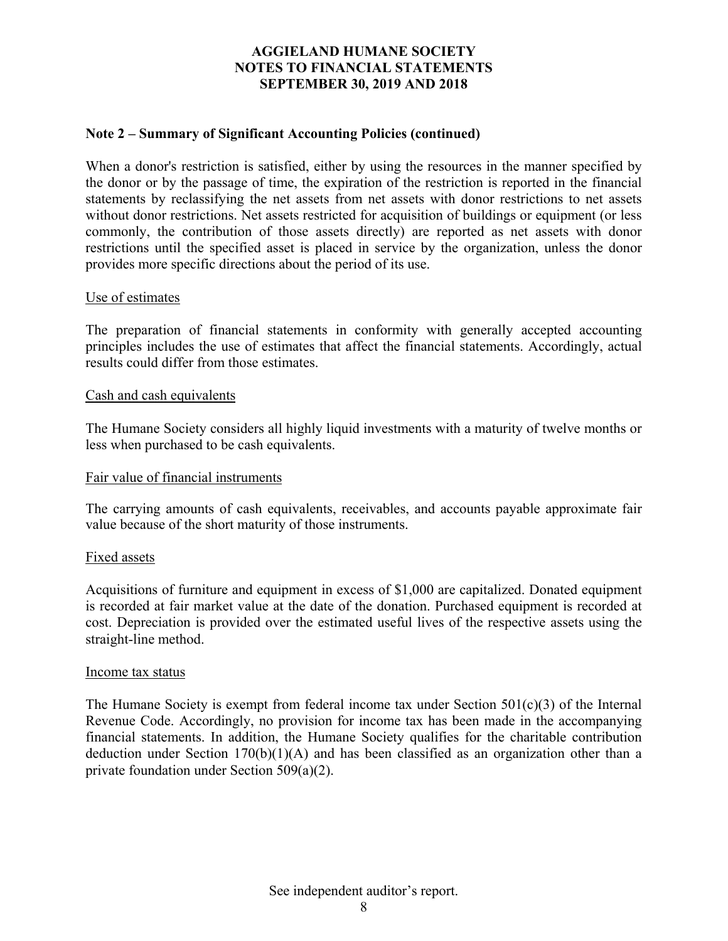## **Note 2 – Summary of Significant Accounting Policies (continued)**

When a donor's restriction is satisfied, either by using the resources in the manner specified by the donor or by the passage of time, the expiration of the restriction is reported in the financial statements by reclassifying the net assets from net assets with donor restrictions to net assets without donor restrictions. Net assets restricted for acquisition of buildings or equipment (or less commonly, the contribution of those assets directly) are reported as net assets with donor restrictions until the specified asset is placed in service by the organization, unless the donor provides more specific directions about the period of its use.

#### Use of estimates

The preparation of financial statements in conformity with generally accepted accounting principles includes the use of estimates that affect the financial statements. Accordingly, actual results could differ from those estimates.

#### Cash and cash equivalents

The Humane Society considers all highly liquid investments with a maturity of twelve months or less when purchased to be cash equivalents.

#### Fair value of financial instruments

The carrying amounts of cash equivalents, receivables, and accounts payable approximate fair value because of the short maturity of those instruments.

#### Fixed assets

Acquisitions of furniture and equipment in excess of \$1,000 are capitalized. Donated equipment is recorded at fair market value at the date of the donation. Purchased equipment is recorded at cost. Depreciation is provided over the estimated useful lives of the respective assets using the straight-line method.

#### Income tax status

The Humane Society is exempt from federal income tax under Section 501(c)(3) of the Internal Revenue Code. Accordingly, no provision for income tax has been made in the accompanying financial statements. In addition, the Humane Society qualifies for the charitable contribution deduction under Section 170(b)(1)(A) and has been classified as an organization other than a private foundation under Section 509(a)(2).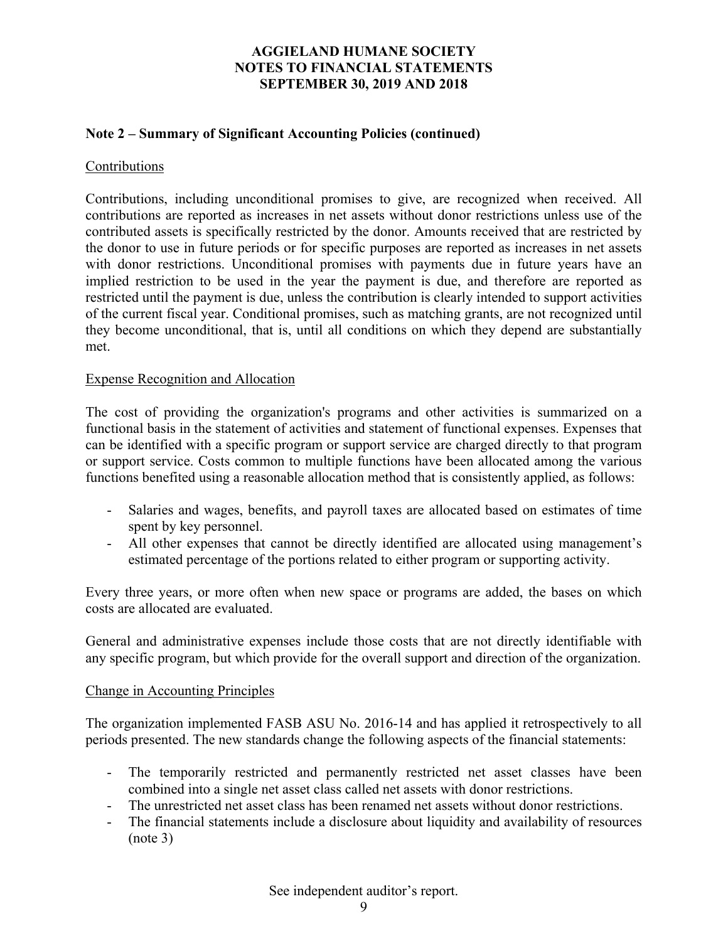## **Note 2 – Summary of Significant Accounting Policies (continued)**

### Contributions

Contributions, including unconditional promises to give, are recognized when received. All contributions are reported as increases in net assets without donor restrictions unless use of the contributed assets is specifically restricted by the donor. Amounts received that are restricted by the donor to use in future periods or for specific purposes are reported as increases in net assets with donor restrictions. Unconditional promises with payments due in future years have an implied restriction to be used in the year the payment is due, and therefore are reported as restricted until the payment is due, unless the contribution is clearly intended to support activities of the current fiscal year. Conditional promises, such as matching grants, are not recognized until they become unconditional, that is, until all conditions on which they depend are substantially met.

#### Expense Recognition and Allocation

The cost of providing the organization's programs and other activities is summarized on a functional basis in the statement of activities and statement of functional expenses. Expenses that can be identified with a specific program or support service are charged directly to that program or support service. Costs common to multiple functions have been allocated among the various functions benefited using a reasonable allocation method that is consistently applied, as follows:

- Salaries and wages, benefits, and payroll taxes are allocated based on estimates of time spent by key personnel.
- All other expenses that cannot be directly identified are allocated using management's estimated percentage of the portions related to either program or supporting activity.

Every three years, or more often when new space or programs are added, the bases on which costs are allocated are evaluated.

General and administrative expenses include those costs that are not directly identifiable with any specific program, but which provide for the overall support and direction of the organization.

#### Change in Accounting Principles

The organization implemented FASB ASU No. 2016-14 and has applied it retrospectively to all periods presented. The new standards change the following aspects of the financial statements:

- The temporarily restricted and permanently restricted net asset classes have been combined into a single net asset class called net assets with donor restrictions.
- The unrestricted net asset class has been renamed net assets without donor restrictions.
- The financial statements include a disclosure about liquidity and availability of resources (note 3)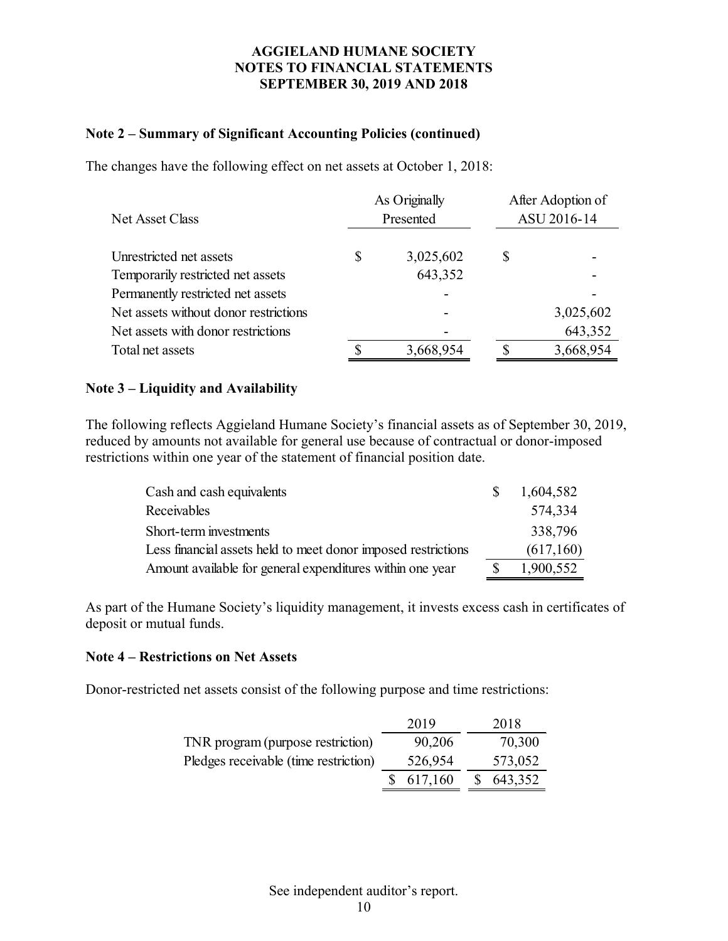## **Note 2 – Summary of Significant Accounting Policies (continued)**

The changes have the following effect on net assets at October 1, 2018:

| Net Asset Class                       | As Originally<br>Presented | After Adoption of<br>ASU 2016-14 |  |  |
|---------------------------------------|----------------------------|----------------------------------|--|--|
| Unrestricted net assets               | \$<br>3,025,602            | \$                               |  |  |
| Temporarily restricted net assets     | 643,352                    |                                  |  |  |
| Permanently restricted net assets     |                            |                                  |  |  |
| Net assets without donor restrictions |                            | 3,025,602                        |  |  |
| Net assets with donor restrictions    |                            | 643,352                          |  |  |
| Total net assets                      | 3,668,954                  | 3,668,954                        |  |  |
|                                       |                            |                                  |  |  |

## **Note 3 – Liquidity and Availability**

The following reflects Aggieland Humane Society's financial assets as of September 30, 2019, reduced by amounts not available for general use because of contractual or donor-imposed restrictions within one year of the statement of financial position date.

| Cash and cash equivalents                                     | S. | 1,604,582 |
|---------------------------------------------------------------|----|-----------|
| Receivables                                                   |    | 574,334   |
| Short-term investments                                        |    | 338,796   |
| Less financial assets held to meet donor imposed restrictions |    | (617,160) |
| Amount available for general expenditures within one year     |    | 1,900,552 |

As part of the Humane Society's liquidity management, it invests excess cash in certificates of deposit or mutual funds.

## **Note 4 – Restrictions on Net Assets**

Donor-restricted net assets consist of the following purpose and time restrictions:

|                                       | 2019      | 2018      |
|---------------------------------------|-----------|-----------|
| TNR program (purpose restriction)     | 90,206    | 70,300    |
| Pledges receivable (time restriction) | 526,954   | 573,052   |
|                                       | \$617,160 | \$643,352 |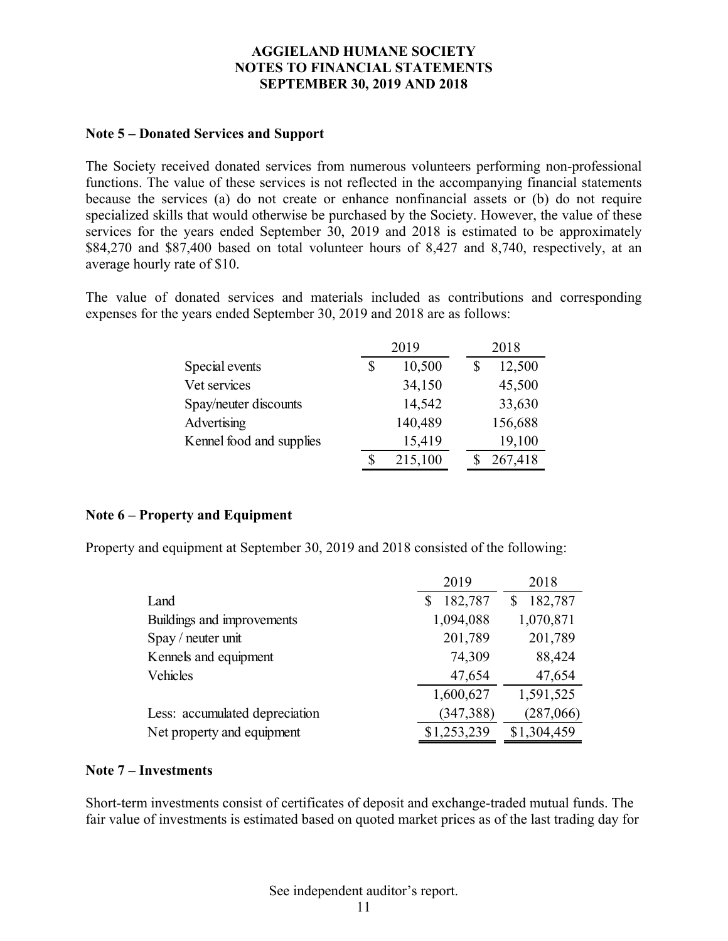## **Note 5 – Donated Services and Support**

The Society received donated services from numerous volunteers performing non-professional functions. The value of these services is not reflected in the accompanying financial statements because the services (a) do not create or enhance nonfinancial assets or (b) do not require specialized skills that would otherwise be purchased by the Society. However, the value of these services for the years ended September 30, 2019 and 2018 is estimated to be approximately \$84,270 and \$87,400 based on total volunteer hours of 8,427 and 8,740, respectively, at an average hourly rate of \$10.

The value of donated services and materials included as contributions and corresponding expenses for the years ended September 30, 2019 and 2018 are as follows:

|                          | 2019         | 2018    |
|--------------------------|--------------|---------|
| Special events           | \$<br>10,500 | 12,500  |
| Vet services             | 34,150       | 45,500  |
| Spay/neuter discounts    | 14,542       | 33,630  |
| Advertising              | 140,489      | 156,688 |
| Kennel food and supplies | 15,419       | 19,100  |
|                          | 215,100      | 267,418 |

## **Note 6 – Property and Equipment**

Property and equipment at September 30, 2019 and 2018 consisted of the following:

|                                | 2019         | 2018         |
|--------------------------------|--------------|--------------|
| Land                           | 182,787<br>S | 182,787<br>S |
| Buildings and improvements     | 1,094,088    | 1,070,871    |
| Spay / neuter unit             | 201,789      | 201,789      |
| Kennels and equipment          | 74,309       | 88,424       |
| Vehicles                       | 47,654       | 47,654       |
|                                | 1,600,627    | 1,591,525    |
| Less: accumulated depreciation | (347, 388)   | (287,066)    |
| Net property and equipment     | \$1,253,239  | \$1,304,459  |

## **Note 7 – Investments**

Short-term investments consist of certificates of deposit and exchange-traded mutual funds. The fair value of investments is estimated based on quoted market prices as of the last trading day for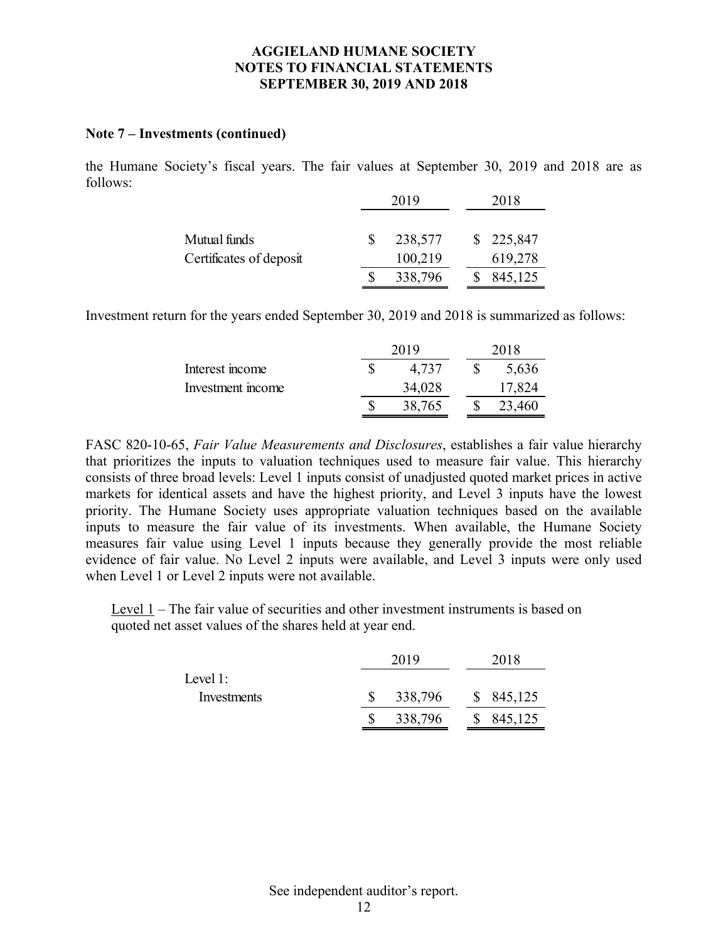#### **Note 7 – Investments (continued)**

the Humane Society's fiscal years. The fair values at September 30, 2019 and 2018 are as follows:

|                         |    | 2019    |  | 2018      |
|-------------------------|----|---------|--|-----------|
|                         |    |         |  |           |
| Mutual funds            | -S | 238,577 |  | \$225,847 |
| Certificates of deposit |    | 100,219 |  | 619,278   |
|                         |    | 338,796 |  | 845,125   |

Investment return for the years ended September 30, 2019 and 2018 is summarized as follows:

|                   | 2019 |        |  | 2018   |
|-------------------|------|--------|--|--------|
| Interest income   |      | 4.737  |  | 5,636  |
| Investment income |      | 34,028 |  | 17,824 |
|                   |      | 38,765 |  | 23,460 |

FASC 820-10-65, *Fair Value Measurements and Disclosures*, establishes a fair value hierarchy that prioritizes the inputs to valuation techniques used to measure fair value. This hierarchy consists of three broad levels: Level 1 inputs consist of unadjusted quoted market prices in active markets for identical assets and have the highest priority, and Level 3 inputs have the lowest priority. The Humane Society uses appropriate valuation techniques based on the available inputs to measure the fair value of its investments. When available, the Humane Society measures fair value using Level 1 inputs because they generally provide the most reliable evidence of fair value. No Level 2 inputs were available, and Level 3 inputs were only used when Level 1 or Level 2 inputs were not available.

Level 1 – The fair value of securities and other investment instruments is based on quoted net asset values of the shares held at year end.

|             | 2019 |         | 2018      |  |
|-------------|------|---------|-----------|--|
| Level $1$ : |      |         |           |  |
| Investments |      | 338,796 | \$845,125 |  |
|             |      | 338,796 | \$845,125 |  |